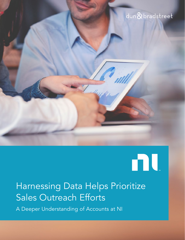## dun & bradstreet

# 

# Harnessing Data Helps Prioritize Sales Outreach Efforts

A Deeper Understanding of Accounts at NI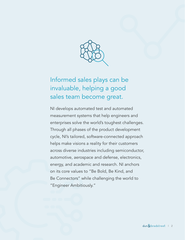

### Informed sales plays can be invaluable, helping a good sales team become great.

NI develops automated test and automated measurement systems that help engineers and enterprises solve the world's toughest challenges. Through all phases of the product development cycle, NI's tailored, software-connected approach helps make visions a reality for their customers across diverse industries including semiconductor, automotive, aerospace and defense, electronics, energy, and academic and research. NI anchors on its core values to "Be Bold, Be Kind, and Be Connectors" while challenging the world to "Engineer Ambitiously."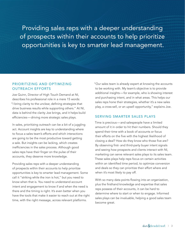Providing sales reps with a deeper understanding of prospects within their accounts to help prioritize opportunities is key to smarter lead management.

#### PRIORITIZING AND OPTIMIZING OUTREACH EFFORTS

Joe Quinn, Director of High Touch Demand at NI, describes his professional role in a mere 15 words: "I bring clarity to the unclear, defining strategies that drive business results while supporting others." At NI, data is behind the clarity Joe brings, and it helps build efficiencies—driving more strategic sales plays.

In sales, prioritizing outreach can be a bit of a juggling act. Account insights are key to understanding where to focus a sales team's efforts and which interactions are going to be the most productive toward getting a sale. But insights can be lacking, which creates inefficiencies in the sales process. Although good sales reps have their finger on the pulse of their accounts, they deserve more knowledge.

Providing sales reps with a deeper understanding of prospects within their accounts to help prioritize opportunities is key to smarter lead management. Some call it "striking while the iron is hot," but you need to know when that is. You need to understand account intent and engagement to know if and when the need is there and the timing is right. It's even better when you have the tools that make it easier to reach out at the right time, with the right message, across relevant platforms.

"Our sales team is already expert at knowing the accounts to be working with. My team's objective is to provide additional insights—for example, who is showing interest and purchasing intent, and in what areas. This helps our sales reps hone their strategies, whether it's a new sales play, a cross-sell, or an upsell opportunity," explains Joe.

#### SERVING SMARTER SALES PLAYS

Time is precious—and salespeople have a limited amount of it in order to hit their numbers. Should they spend their time with a book of accounts or focus their efforts on the five with the highest likelihood of closing a deal? How do they know who those five are? By observing first- and third-party buyer intent signals and seeing how prospects and clients interact with NI, marketing can serve relevant sales plays to its sales team. These sales plays help reps focus on certain activities within an identified time period, to optimize conversion and deals so they can prioritize their effort where and when it's most likely to pay off.

With so many data points flowing into an organization, plus the firsthand knowledge and expertise that sales reps possess of their accounts, it can be hard to determine where to start or when to engage. Informed sales plays can be invaluable, helping a good sales team become great.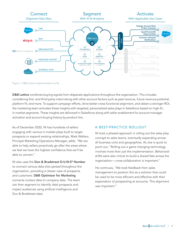

Figure 1: D&B Lattice implementation at NI.

**D&B Lattice** combines buying signals from disparate applications throughout the organization. This includes considering first- and third-party intent along with other account factors such as past revenue, future revenue potential, platform fit, and more. To support campaign efforts, drive better cross-functional alignment, and obtain a stronger ROI, the marketing team activates these insights with targeted, personalized sales plays in Salesforce based on high-fit, in-market segments. These insights are delivered in Salesforce along with seller enablement for account manager activation and account buying history by product line. nd obtain a stro )<br>ACCOUNT

As of December 2020, NI has hundreds of sellers engaging with various in-market plays built to target prospects or expand existing relationships. Mark Walters, Principal Marketing Operations Manager, adds, "We are able to help sellers proactively go after the areas where we feel we have the highest confidence that we'll be able to convert."

NI also uses the Dun & Bradstreet D-U-N-S® Number to connect various data silos spread throughout the organization, providing a clearer view of prospects and customers. D&B Optimizer for Marketing connects contact data to company data. The team can then segment to identify ideal prospects and impact audiences using artificial intelligence and Dun & Bradstreet data.

#### A BEST-PRACTICE ROLLOUT

NI took a phased approach in rolling out the sales play concept to sales teams, eventually expanding across all business units and geographies. As Joe is quick to point out, "Rolling out a game changing technology involves more than just the implementation. Behavioral shifts were also critical to build a shared fate across the organization—cross-collaboration is important." E<br>C<br>C<br>C

He continues, "We took feedback from sales management to position this as a solution that could be used to be more efficient and effective with their expectation of prospecting at accounts. This alignment was important."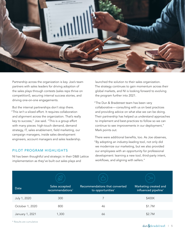

Partnership across the organization is key. Joe's team partners with sales leaders for driving adoption of the sales plays through contests (sales reps thrive on competition!), securing internal success stories, and driving one-on-one engagements.

But the internal partnerships don't stop there. "This isn't a siloed effort. It requires collaboration and alignment across the organization. That's really key to success," Joe said. "This is a group effort with many pieces: high-touch demand, demand strategy, IT, sales enablement, field marketing, our campaign managers, inside sales development engineers, account managers and sales leadership.

#### PILOT PROGRAM HIGHLIGHTS

NI has been thoughtful and strategic in their D&B Lattice implementation as they've built out sales plays and

launched the solution to their sales organization. The strategy continues to gain momentum across their global markets, and NI is looking forward to evolving the program further into 2021.

"The Dun & Bradstreet team has been very collaborative—consulting with us on best practices and providing advice on what else we can be doing. Their partnership has helped us understand approaches to implement and best-practices to follow so we can continue to see improvements in our deployment," Mark points out.

There were additional benefits, too. As Joe observes, "By adopting an industry-leading tool, not only did we modernize our marketing, but we also provided our employees with an opportunity for professional development: learning a new tool, third-party intent, workflows, and aligning with sellers."

| <b>Date</b>     | Sales accepted<br>recommendations <sup>*</sup> | Recommendations that converted<br>to opportunities* | Marketing created and<br>influenced pipeline* |
|-----------------|------------------------------------------------|-----------------------------------------------------|-----------------------------------------------|
| July 1, 2020    | 300                                            | 7                                                   | \$400K                                        |
| October 1, 2020 | 800                                            | 46                                                  | \$1.7M                                        |
| January 1, 2021 | 1,300                                          | 66                                                  | \$2.7M                                        |

\* Results are cumulative